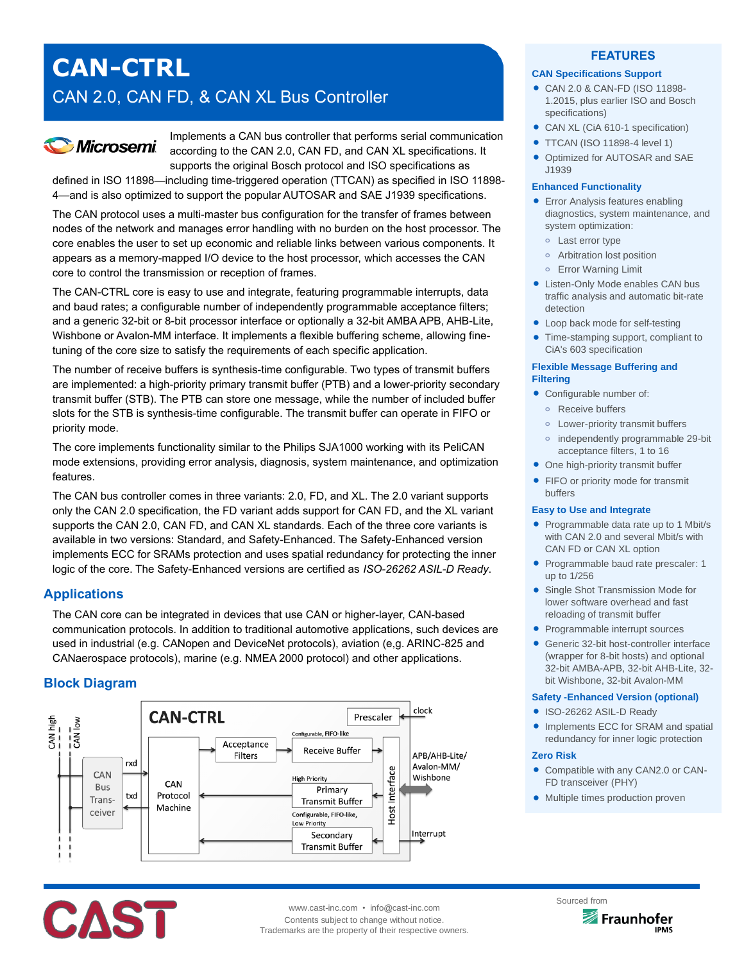# **CAN-CTRL** CAN 2.0, CAN FD, & CAN XL Bus Controller

# **Microsemi**

Implements a CAN bus controller that performs serial communication according to the CAN 2.0, CAN FD, and CAN XL specifications. It supports the original Bosch protocol and ISO specifications as

defined in ISO 11898—including time-triggered operation (TTCAN) as specified in ISO 11898- 4—and is also optimized to support the popular AUTOSAR and SAE J1939 specifications.

The CAN protocol uses a multi-master bus configuration for the transfer of frames between nodes of the network and manages error handling with no burden on the host processor. The core enables the user to set up economic and reliable links between various components. It appears as a memory-mapped I/O device to the host processor, which accesses the CAN core to control the transmission or reception of frames.

The CAN-CTRL core is easy to use and integrate, featuring programmable interrupts, data and baud rates; a configurable number of independently programmable acceptance filters; and a generic 32-bit or 8-bit processor interface or optionally a 32-bit AMBA APB, AHB-Lite, Wishbone or Avalon-MM interface. It implements a flexible buffering scheme, allowing finetuning of the core size to satisfy the requirements of each specific application.

The number of receive buffers is synthesis-time configurable. Two types of transmit buffers are implemented: a high-priority primary transmit buffer (PTB) and a lower-priority secondary transmit buffer (STB). The PTB can store one message, while the number of included buffer slots for the STB is synthesis-time configurable. The transmit buffer can operate in FIFO or priority mode.

The core implements functionality similar to the Philips SJA1000 working with its PeliCAN mode extensions, providing error analysis, diagnosis, system maintenance, and optimization features.

The CAN bus controller comes in three variants: 2.0, FD, and XL. The 2.0 variant supports only the CAN 2.0 specification, the FD variant adds support for CAN FD, and the XL variant supports the CAN 2.0, CAN FD, and CAN XL standards. Each of the three core variants is available in two versions: Standard, and Safety-Enhanced. The Safety-Enhanced version implements ECC for SRAMs protection and uses spatial redundancy for protecting the inner logic of the core. The Safety-Enhanced versions are certified as *ISO-26262 ASIL-D Ready*.

# **Applications**

The CAN core can be integrated in devices that use CAN or higher-layer, CAN-based communication protocols. In addition to traditional automotive applications, such devices are used in industrial (e.g. CANopen and DeviceNet protocols), aviation (e,g. ARINC-825 and CANaerospace protocols), marine (e.g. NMEA 2000 protocol) and other applications.

# **Block Diagram**



# **FEATURES**

### **CAN Specifications Support**

- CAN 2.0 & CAN-FD (ISO 11898- 1.2015, plus earlier ISO and Bosch specifications)
- CAN XL (CiA 610-1 specification)
- **TTCAN (ISO 11898-4 level 1)**
- Optimized for AUTOSAR and SAE J1939

#### **Enhanced Functionality**

- **Error Analysis features enabling** diagnostics, system maintenance, and system optimization:
	- **o** Last error type
	- **o** Arbitration lost position
	- **o** Error Warning Limit
- Listen-Only Mode enables CAN bus traffic analysis and automatic bit-rate detection
- Loop back mode for self-testing
- Time-stamping support, compliant to CiA's 603 specification

### **Flexible Message Buffering and Filtering**

- Configurable number of:
	- **o** Receive buffers
	- **o** Lower-priority transmit buffers
	- **o** independently programmable 29-bit acceptance filters, 1 to 16
- One high-priority transmit buffer
- FIFO or priority mode for transmit buffers

#### **Easy to Use and Integrate**

- Programmable data rate up to 1 Mbit/s with CAN 2.0 and several Mbit/s with CAN FD or CAN XL option
- Programmable baud rate prescaler: 1 up to 1/256
- Single Shot Transmission Mode for lower software overhead and fast reloading of transmit buffer
- Programmable interrupt sources
- Generic 32-bit host-controller interface (wrapper for 8-bit hosts) and optional 32-bit AMBA-APB, 32-bit AHB-Lite, 32 bit Wishbone, 32-bit Avalon-MM

#### **Safety -Enhanced Version (optional)**

- ISO-26262 ASIL-D Ready
- Implements ECC for SRAM and spatial redundancy for inner logic protection

#### **Zero Risk**

- Compatible with any CAN2.0 or CAN-FD transceiver (PHY)
- Multiple times production proven



www.cast-inc.com • info@cast-inc.com Contents subject to change without notice. Trademarks are the property of their respective owners.